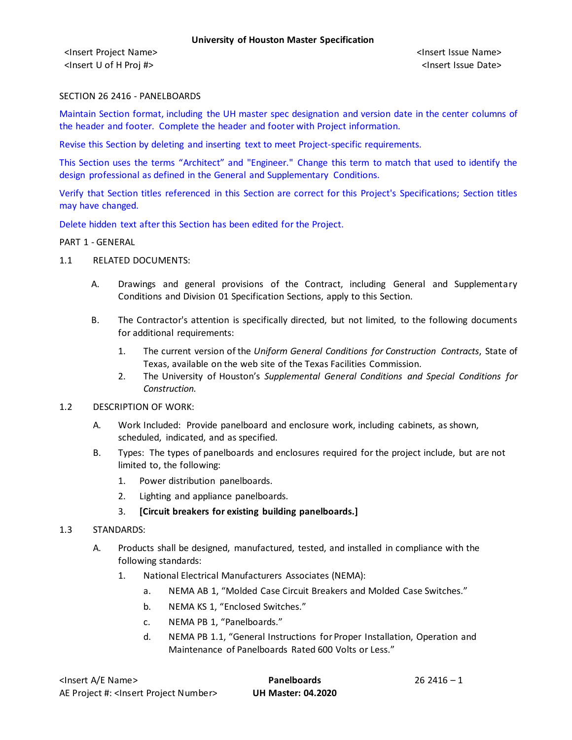<Insert Project Name> <Insert Issue Name> <Insert U of H Proj #> <Insert Issue Date>

#### SECTION 26 2416 - PANELBOARDS

Maintain Section format, including the UH master spec designation and version date in the center columns of the header and footer. Complete the header and footer with Project information.

Revise this Section by deleting and inserting text to meet Project-specific requirements.

This Section uses the terms "Architect" and "Engineer." Change this term to match that used to identify the design professional as defined in the General and Supplementary Conditions.

Verify that Section titles referenced in this Section are correct for this Project's Specifications; Section titles may have changed.

Delete hidden text after this Section has been edited for the Project.

#### PART 1 - GENERAL

- 1.1 RELATED DOCUMENTS:
	- A. Drawings and general provisions of the Contract, including General and Supplementary Conditions and Division 01 Specification Sections, apply to this Section.
	- B. The Contractor's attention is specifically directed, but not limited, to the following documents for additional requirements:
		- 1. The current version of the *Uniform General Conditions for Construction Contracts*, State of Texas, available on the web site of the Texas Facilities Commission.
		- 2. The University of Houston's *Supplemental General Conditions and Special Conditions for Construction.*
- 1.2 DESCRIPTION OF WORK:
	- A. Work Included: Provide panelboard and enclosure work, including cabinets, as shown, scheduled, indicated, and as specified.
	- B. Types: The types of panelboards and enclosures required for the project include, but are not limited to, the following:
		- 1. Power distribution panelboards.
		- 2. Lighting and appliance panelboards.
		- 3. **[Circuit breakers for existing building panelboards.]**
- 1.3 STANDARDS:
	- A. Products shall be designed, manufactured, tested, and installed in compliance with the following standards:
		- 1. National Electrical Manufacturers Associates (NEMA):
			- a. NEMA AB 1, "Molded Case Circuit Breakers and Molded Case Switches."
			- b. NEMA KS 1, "Enclosed Switches."
			- c. NEMA PB 1, "Panelboards."
			- d. NEMA PB 1.1, "General Instructions for Proper Installation, Operation and Maintenance of Panelboards Rated 600 Volts or Less."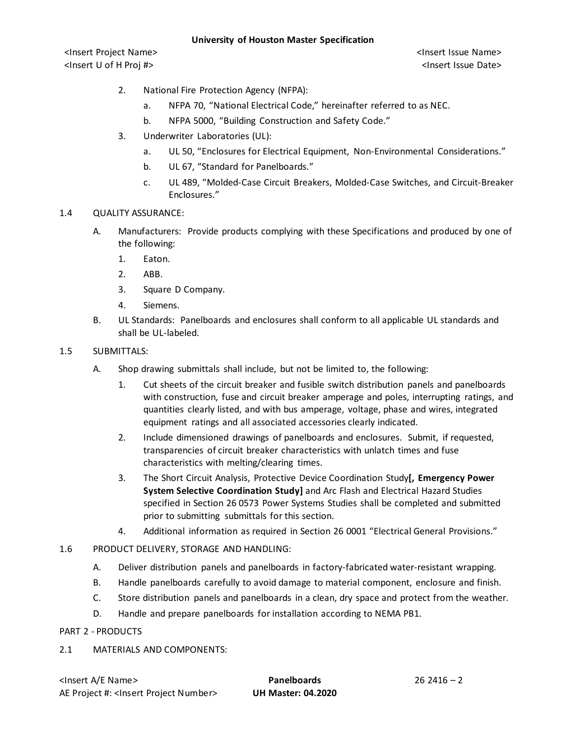<Insert Project Name> <Insert Issue Name> <Insert U of H Proj #> <Insert Issue Date>

- 2. National Fire Protection Agency (NFPA):
	- a. NFPA 70, "National Electrical Code," hereinafter referred to as NEC.
	- b. NFPA 5000, "Building Construction and Safety Code."
- 3. Underwriter Laboratories (UL):
	- a. UL 50, "Enclosures for Electrical Equipment, Non-Environmental Considerations."
	- b. UL 67, "Standard for Panelboards."
	- c. UL 489, "Molded-Case Circuit Breakers, Molded-Case Switches, and Circuit-Breaker Enclosures."

### 1.4 QUALITY ASSURANCE:

- A. Manufacturers: Provide products complying with these Specifications and produced by one of the following:
	- 1. Eaton.
	- 2. ABB.
	- 3. Square D Company.
	- 4. Siemens.
- B. UL Standards: Panelboards and enclosures shall conform to all applicable UL standards and shall be UL-labeled.

## 1.5 SUBMITTALS:

- A. Shop drawing submittals shall include, but not be limited to, the following:
	- 1. Cut sheets of the circuit breaker and fusible switch distribution panels and panelboards with construction, fuse and circuit breaker amperage and poles, interrupting ratings, and quantities clearly listed, and with bus amperage, voltage, phase and wires, integrated equipment ratings and all associated accessories clearly indicated.
	- 2. Include dimensioned drawings of panelboards and enclosures. Submit, if requested, transparencies of circuit breaker characteristics with unlatch times and fuse characteristics with melting/clearing times.
	- 3. The Short Circuit Analysis, Protective Device Coordination Study**[, Emergency Power System Selective Coordination Study]** and Arc Flash and Electrical Hazard Studies specified in Section 26 0573 Power Systems Studies shall be completed and submitted prior to submitting submittals for this section.
	- 4. Additional information as required in Section 26 0001 "Electrical General Provisions."
- 1.6 PRODUCT DELIVERY, STORAGE AND HANDLING:
	- A. Deliver distribution panels and panelboards in factory-fabricated water-resistant wrapping.
	- B. Handle panelboards carefully to avoid damage to material component, enclosure and finish.
	- C. Store distribution panels and panelboards in a clean, dry space and protect from the weather.
	- D. Handle and prepare panelboards for installation according to NEMA PB1.

PART 2 - PRODUCTS

2.1 MATERIALS AND COMPONENTS: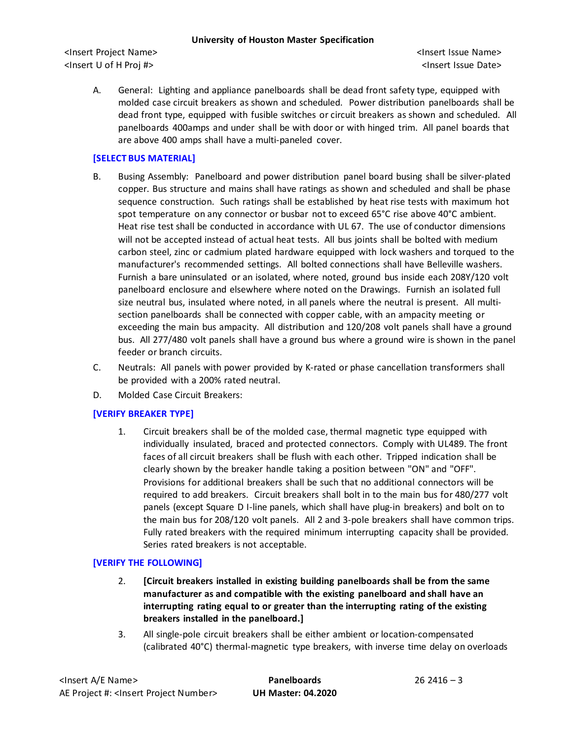### **University of Houston Master Specification**

<Insert Project Name> <Insert Issue Name> <Insert U of H Proj #> <Insert Issue Date>

A. General: Lighting and appliance panelboards shall be dead front safety type, equipped with molded case circuit breakers as shown and scheduled. Power distribution panelboards shall be dead front type, equipped with fusible switches or circuit breakers as shown and scheduled. All panelboards 400amps and under shall be with door or with hinged trim. All panel boards that are above 400 amps shall have a multi-paneled cover.

# **[SELECT BUS MATERIAL]**

- B. Busing Assembly: Panelboard and power distribution panel board busing shall be silver-plated copper. Bus structure and mains shall have ratings as shown and scheduled and shall be phase sequence construction. Such ratings shall be established by heat rise tests with maximum hot spot temperature on any connector or busbar not to exceed 65°C rise above 40°C ambient. Heat rise test shall be conducted in accordance with UL 67. The use of conductor dimensions will not be accepted instead of actual heat tests. All bus joints shall be bolted with medium carbon steel, zinc or cadmium plated hardware equipped with lock washers and torqued to the manufacturer's recommended settings. All bolted connections shall have Belleville washers. Furnish a bare uninsulated or an isolated, where noted, ground bus inside each 208Y/120 volt panelboard enclosure and elsewhere where noted on the Drawings. Furnish an isolated full size neutral bus, insulated where noted, in all panels where the neutral is present. All multisection panelboards shall be connected with copper cable, with an ampacity meeting or exceeding the main bus ampacity. All distribution and 120/208 volt panels shall have a ground bus. All 277/480 volt panels shall have a ground bus where a ground wire is shown in the panel feeder or branch circuits.
- C. Neutrals: All panels with power provided by K-rated or phase cancellation transformers shall be provided with a 200% rated neutral.
- D. Molded Case Circuit Breakers:

# **[VERIFY BREAKER TYPE]**

1. Circuit breakers shall be of the molded case, thermal magnetic type equipped with individually insulated, braced and protected connectors. Comply with UL489. The front faces of all circuit breakers shall be flush with each other. Tripped indication shall be clearly shown by the breaker handle taking a position between "ON" and "OFF". Provisions for additional breakers shall be such that no additional connectors will be required to add breakers. Circuit breakers shall bolt in to the main bus for 480/277 volt panels (except Square D I-line panels, which shall have plug-in breakers) and bolt on to the main bus for 208/120 volt panels. All 2 and 3-pole breakers shall have common trips. Fully rated breakers with the required minimum interrupting capacity shall be provided. Series rated breakers is not acceptable.

# **[VERIFY THE FOLLOWING]**

- 2. **[Circuit breakers installed in existing building panelboards shall be from the same manufacturer as and compatible with the existing panelboard and shall have an interrupting rating equal to or greater than the interrupting rating of the existing breakers installed in the panelboard.]**
- 3. All single-pole circuit breakers shall be either ambient or location-compensated (calibrated 40°C) thermal-magnetic type breakers, with inverse time delay on overloads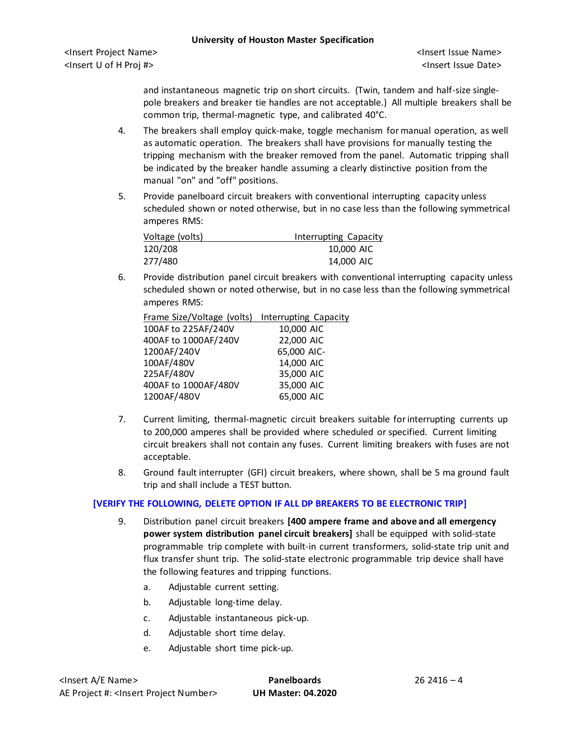and instantaneous magnetic trip on short circuits. (Twin, tandem and half-size singlepole breakers and breaker tie handles are not acceptable.) All multiple breakers shall be common trip, thermal-magnetic type, and calibrated 40°C.

- 4. The breakers shall employ quick-make, toggle mechanism for manual operation, as well as automatic operation. The breakers shall have provisions for manually testing the tripping mechanism with the breaker removed from the panel. Automatic tripping shall be indicated by the breaker handle assuming a clearly distinctive position from the manual "on" and "off" positions.
- 5. Provide panelboard circuit breakers with conventional interrupting capacity unless scheduled shown or noted otherwise, but in no case less than the following symmetrical amperes RMS:

| Voltage (volts) | Interrupting Capacity |
|-----------------|-----------------------|
| 120/208         | 10,000 AIC            |
| 277/480         | 14,000 AIC            |

6. Provide distribution panel circuit breakers with conventional interrupting capacity unless scheduled shown or noted otherwise, but in no case less than the following symmetrical amperes RMS:

| Frame Size/Voltage (volts) Interrupting Capacity |             |
|--------------------------------------------------|-------------|
| 100AF to 225AF/240V                              | 10,000 AIC  |
| 400AF to 1000AF/240V                             | 22,000 AIC  |
| 1200AF/240V                                      | 65,000 AIC- |
| 100AF/480V                                       | 14,000 AIC  |
| 225AF/480V                                       | 35,000 AIC  |
| 400AF to 1000AF/480V                             | 35,000 AIC  |
| 1200AF/480V                                      | 65,000 AIC  |

- 7. Current limiting, thermal-magnetic circuit breakers suitable for interrupting currents up to 200,000 amperes shall be provided where scheduled or specified. Current limiting circuit breakers shall not contain any fuses. Current limiting breakers with fuses are not acceptable.
- 8. Ground fault interrupter (GFI) circuit breakers, where shown, shall be 5 ma ground fault trip and shall include a TEST button.

# **[VERIFY THE FOLLOWING, DELETE OPTION IF ALL DP BREAKERS TO BE ELECTRONIC TRIP]**

- 9. Distribution panel circuit breakers **[400 ampere frame and above and all emergency power system distribution panel circuit breakers]** shall be equipped with solid-state programmable trip complete with built-in current transformers, solid-state trip unit and flux transfer shunt trip. The solid-state electronic programmable trip device shall have the following features and tripping functions.
	- a. Adjustable current setting.
	- b. Adjustable long-time delay.
	- c. Adjustable instantaneous pick-up.
	- d. Adjustable short time delay.
	- e. Adjustable short time pick-up.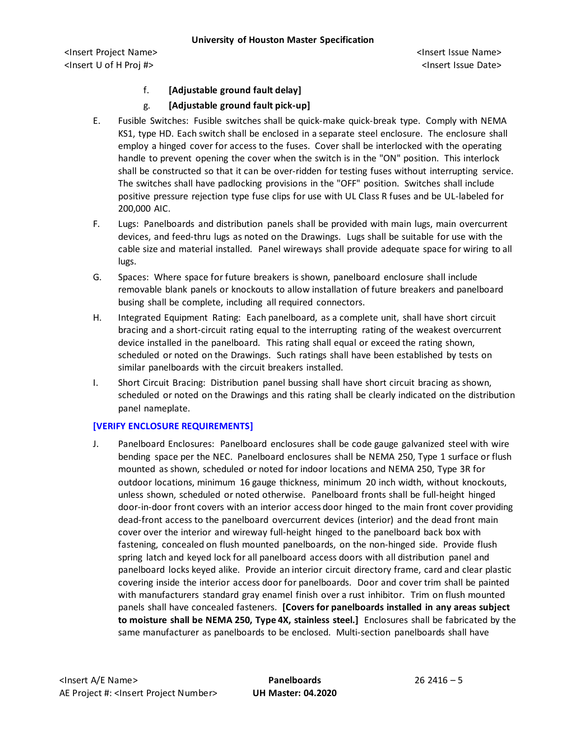## **University of Houston Master Specification**

<Insert Project Name> <Insert Issue Name> <Insert U of H Proj #> <Insert Issue Date>

# f. **[Adjustable ground fault delay]**

# g. **[Adjustable ground fault pick-up]**

- E. Fusible Switches: Fusible switches shall be quick-make quick-break type. Comply with NEMA KS1, type HD. Each switch shall be enclosed in a separate steel enclosure. The enclosure shall employ a hinged cover for access to the fuses. Cover shall be interlocked with the operating handle to prevent opening the cover when the switch is in the "ON" position. This interlock shall be constructed so that it can be over-ridden for testing fuses without interrupting service. The switches shall have padlocking provisions in the "OFF" position. Switches shall include positive pressure rejection type fuse clips for use with UL Class R fuses and be UL-labeled for 200,000 AIC.
- F. Lugs: Panelboards and distribution panels shall be provided with main lugs, main overcurrent devices, and feed-thru lugs as noted on the Drawings. Lugs shall be suitable for use with the cable size and material installed. Panel wireways shall provide adequate space for wiring to all lugs.
- G. Spaces: Where space for future breakers is shown, panelboard enclosure shall include removable blank panels or knockouts to allow installation of future breakers and panelboard busing shall be complete, including all required connectors.
- H. Integrated Equipment Rating: Each panelboard, as a complete unit, shall have short circuit bracing and a short-circuit rating equal to the interrupting rating of the weakest overcurrent device installed in the panelboard. This rating shall equal or exceed the rating shown, scheduled or noted on the Drawings. Such ratings shall have been established by tests on similar panelboards with the circuit breakers installed.
- I. Short Circuit Bracing: Distribution panel bussing shall have short circuit bracing as shown, scheduled or noted on the Drawings and this rating shall be clearly indicated on the distribution panel nameplate.

# **[VERIFY ENCLOSURE REQUIREMENTS]**

J. Panelboard Enclosures: Panelboard enclosures shall be code gauge galvanized steel with wire bending space per the NEC. Panelboard enclosures shall be NEMA 250, Type 1 surface or flush mounted as shown, scheduled or noted for indoor locations and NEMA 250, Type 3R for outdoor locations, minimum 16 gauge thickness, minimum 20 inch width, without knockouts, unless shown, scheduled or noted otherwise. Panelboard fronts shall be full-height hinged door-in-door front covers with an interior access door hinged to the main front cover providing dead-front access to the panelboard overcurrent devices (interior) and the dead front main cover over the interior and wireway full-height hinged to the panelboard back box with fastening, concealed on flush mounted panelboards, on the non-hinged side. Provide flush spring latch and keyed lock for all panelboard access doors with all distribution panel and panelboard locks keyed alike. Provide an interior circuit directory frame, card and clear plastic covering inside the interior access door for panelboards. Door and cover trim shall be painted with manufacturers standard gray enamel finish over a rust inhibitor. Trim on flush mounted panels shall have concealed fasteners. **[Covers for panelboards installed in any areas subject to moisture shall be NEMA 250, Type 4X, stainless steel.]** Enclosures shall be fabricated by the same manufacturer as panelboards to be enclosed. Multi-section panelboards shall have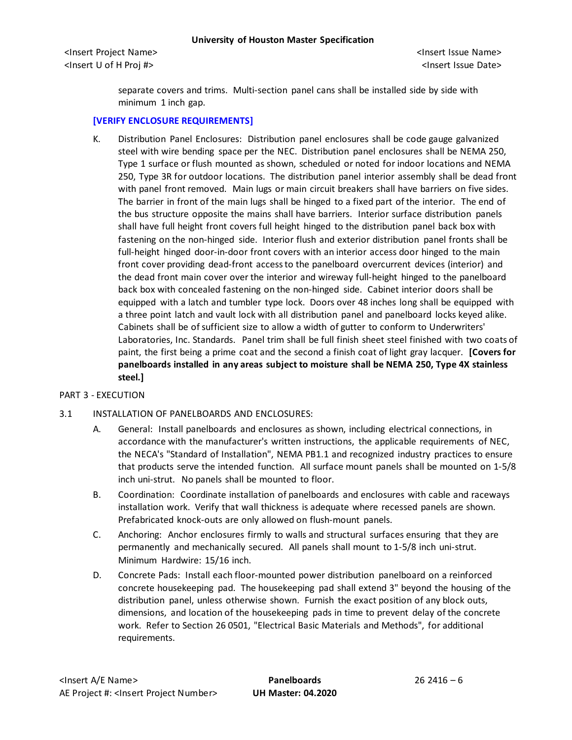<Insert Project Name> <Insert Issue Name> <Insert U of H Proj #> <Insert Issue Date>

separate covers and trims. Multi-section panel cans shall be installed side by side with minimum 1 inch gap.

## **[VERIFY ENCLOSURE REQUIREMENTS]**

K. Distribution Panel Enclosures: Distribution panel enclosures shall be code gauge galvanized steel with wire bending space per the NEC. Distribution panel enclosures shall be NEMA 250, Type 1 surface or flush mounted as shown, scheduled or noted for indoor locations and NEMA 250, Type 3R for outdoor locations. The distribution panel interior assembly shall be dead front with panel front removed. Main lugs or main circuit breakers shall have barriers on five sides. The barrier in front of the main lugs shall be hinged to a fixed part of the interior. The end of the bus structure opposite the mains shall have barriers. Interior surface distribution panels shall have full height front covers full height hinged to the distribution panel back box with fastening on the non-hinged side. Interior flush and exterior distribution panel fronts shall be full-height hinged door-in-door front covers with an interior access door hinged to the main front cover providing dead-front access to the panelboard overcurrent devices (interior) and the dead front main cover over the interior and wireway full-height hinged to the panelboard back box with concealed fastening on the non-hinged side. Cabinet interior doors shall be equipped with a latch and tumbler type lock. Doors over 48 inches long shall be equipped with a three point latch and vault lock with all distribution panel and panelboard locks keyed alike. Cabinets shall be of sufficient size to allow a width of gutter to conform to Underwriters' Laboratories, Inc. Standards. Panel trim shall be full finish sheet steel finished with two coats of paint, the first being a prime coat and the second a finish coat of light gray lacquer. **[Covers for panelboards installed in any areas subject to moisture shall be NEMA 250, Type 4X stainless steel.]**

### PART 3 - EXECUTION

### 3.1 INSTALLATION OF PANELBOARDS AND ENCLOSURES:

- A. General: Install panelboards and enclosures as shown, including electrical connections, in accordance with the manufacturer's written instructions, the applicable requirements of NEC, the NECA's "Standard of Installation", NEMA PB1.1 and recognized industry practices to ensure that products serve the intended function. All surface mount panels shall be mounted on 1-5/8 inch uni-strut. No panels shall be mounted to floor.
- B. Coordination: Coordinate installation of panelboards and enclosures with cable and raceways installation work. Verify that wall thickness is adequate where recessed panels are shown. Prefabricated knock-outs are only allowed on flush-mount panels.
- C. Anchoring: Anchor enclosures firmly to walls and structural surfaces ensuring that they are permanently and mechanically secured. All panels shall mount to 1-5/8 inch uni-strut. Minimum Hardwire: 15/16 inch.
- D. Concrete Pads: Install each floor-mounted power distribution panelboard on a reinforced concrete housekeeping pad. The housekeeping pad shall extend 3" beyond the housing of the distribution panel, unless otherwise shown. Furnish the exact position of any block outs, dimensions, and location of the housekeeping pads in time to prevent delay of the concrete work. Refer to Section 26 0501, "Electrical Basic Materials and Methods", for additional requirements.